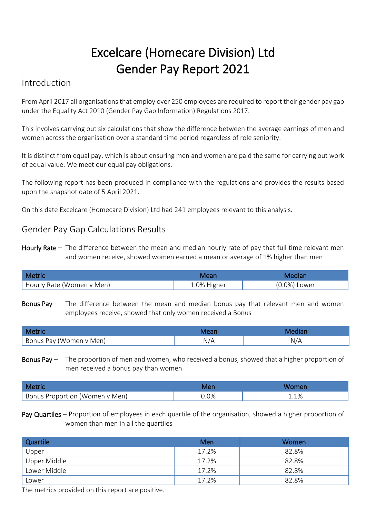# Excelcare (Homecare Division) Ltd Gender Pay Report 2021

### Introduction

From April 2017 all organisations that employ over 250 employees are required to report their gender pay gap under the Equality Act 2010 (Gender Pay Gap Information) Regulations 2017.

This involves carrying out six calculations that show the difference between the average earnings of men and women across the organisation over a standard time period regardless of role seniority.

It is distinct from equal pay, which is about ensuring men and women are paid the same for carrying out work of equal value. We meet our equal pay obligations.

The following report has been produced in compliance with the regulations and provides the results based upon the snapshot date of 5 April 2021.

On this date Excelcare (Homecare Division) Ltd had 241 employees relevant to this analysis.

### Gender Pay Gap Calculations Results

Hourly Rate – The difference between the mean and median hourly rate of pay that full time relevant men and women receive, showed women earned a mean or average of 1% higher than men

| <b>Metric</b>             | Mear.       |              |
|---------------------------|-------------|--------------|
| Hourly Rate (Women v Men) | 1.0% Higher | (0.0%) Lower |

Bonus Pay – The difference between the mean and median bonus pay that relevant men and women employees receive, showed that only women received a Bonus

| Bonus Pay (Women<br>v Men) | N, |
|----------------------------|----|

Bonus Pay – The proportion of men and women, who received a bonus, showed that a higher proportion of men received a bonus pay than women

| <b>Metri</b>                   | Mer | Women |
|--------------------------------|-----|-------|
| Bonus Proportion (Women v Men) | .0% | 1.1%  |

Pay Quartiles – Proportion of employees in each quartile of the organisation, showed a higher proportion of women than men in all the quartiles

| Quartile     | Men   | Women |
|--------------|-------|-------|
| Upper        | 17.2% | 82.8% |
| Upper Middle | 17.2% | 82.8% |
| Lower Middle | 17.2% | 82.8% |
| Lower        | 17.2% | 82.8% |

The metrics provided on this report are positive.